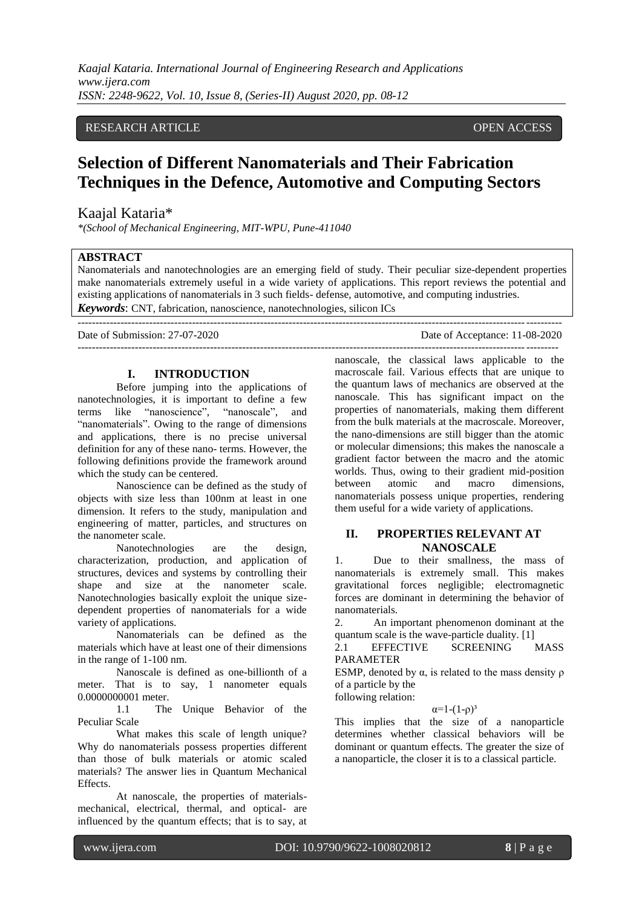# RESEARCH ARTICLE OPEN ACCESS

# **Selection of Different Nanomaterials and Their Fabrication Techniques in the Defence, Automotive and Computing Sectors**

# Kaajal Kataria\*

*\*(School of Mechanical Engineering, MIT-WPU, Pune-411040*

### **ABSTRACT**

Nanomaterials and nanotechnologies are an emerging field of study. Their peculiar size-dependent properties make nanomaterials extremely useful in a wide variety of applications. This report reviews the potential and existing applications of nanomaterials in 3 such fields- defense, automotive, and computing industries. *Keywords*: CNT, fabrication, nanoscience, nanotechnologies, silicon ICs

---------------------------------------------------------------------------------------------------------------------------------------

Date of Submission: 27-07-2020 Date of Acceptance: 11-08-2020 --------------------------------------------------------------------------------------------------------------------------------------

# **I. INTRODUCTION**

Before jumping into the applications of nanotechnologies, it is important to define a few terms like "nanoscience", "nanoscale", and "nanomaterials". Owing to the range of dimensions and applications, there is no precise universal definition for any of these nano- terms. However, the following definitions provide the framework around which the study can be centered.

Nanoscience can be defined as the study of objects with size less than 100nm at least in one dimension. It refers to the study, manipulation and engineering of matter, particles, and structures on the nanometer scale.

Nanotechnologies are the design, characterization, production, and application of structures, devices and systems by controlling their shape and size at the nanometer scale. Nanotechnologies basically exploit the unique sizedependent properties of nanomaterials for a wide variety of applications.

Nanomaterials can be defined as the materials which have at least one of their dimensions in the range of 1-100 nm.

Nanoscale is defined as one-billionth of a meter. That is to say, 1 nanometer equals 0.0000000001 meter.

1.1 The Unique Behavior of the Peculiar Scale

What makes this scale of length unique? Why do nanomaterials possess properties different than those of bulk materials or atomic scaled materials? The answer lies in Quantum Mechanical Effects.

At nanoscale, the properties of materialsmechanical, electrical, thermal, and optical- are influenced by the quantum effects; that is to say, at nanoscale, the classical laws applicable to the macroscale fail. Various effects that are unique to the quantum laws of mechanics are observed at the nanoscale. This has significant impact on the properties of nanomaterials, making them different from the bulk materials at the macroscale. Moreover, the nano-dimensions are still bigger than the atomic or molecular dimensions; this makes the nanoscale a gradient factor between the macro and the atomic worlds. Thus, owing to their gradient mid-position between atomic and macro dimensions, nanomaterials possess unique properties, rendering them useful for a wide variety of applications.

## **II. PROPERTIES RELEVANT AT NANOSCALE**

1. Due to their smallness, the mass of nanomaterials is extremely small. This makes gravitational forces negligible; electromagnetic forces are dominant in determining the behavior of nanomaterials.

2. An important phenomenon dominant at the quantum scale is the wave-particle duality. [1]

2.1 EFFECTIVE SCREENING MASS PARAMETER

ESMP, denoted by  $\alpha$ , is related to the mass density  $\rho$ of a particle by the following relation:

 $α=1-(1-\rho)^3$ 

This implies that the size of a nanoparticle determines whether classical behaviors will be dominant or quantum effects. The greater the size of a nanoparticle, the closer it is to a classical particle.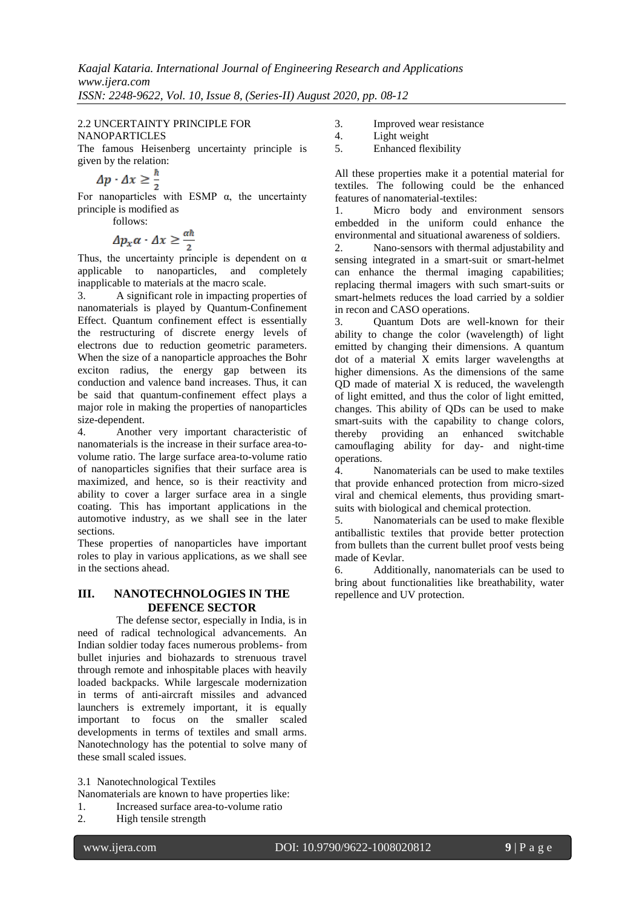# 2.2 UNCERTAINTY PRINCIPLE FOR NANOPARTICLES

The famous Heisenberg uncertainty principle is

given by the relation:<br>  $\Delta p \cdot \Delta x \ge \frac{\hbar}{2}$ 

For nanoparticles with ESMP  $\alpha$ , the uncertainty principle is modified as

follows:

$$
\Delta p_x \alpha \cdot \Delta x \ge \frac{\alpha \hbar}{2}
$$

Thus, the uncertainty principle is dependent on  $\alpha$ applicable to nanoparticles, and completely inapplicable to materials at the macro scale.

3. A significant role in impacting properties of nanomaterials is played by Quantum-Confinement Effect. Quantum confinement effect is essentially the restructuring of discrete energy levels of electrons due to reduction geometric parameters. When the size of a nanoparticle approaches the Bohr exciton radius, the energy gap between its conduction and valence band increases. Thus, it can be said that quantum-confinement effect plays a major role in making the properties of nanoparticles size-dependent.

4. Another very important characteristic of nanomaterials is the increase in their surface area-tovolume ratio. The large surface area-to-volume ratio of nanoparticles signifies that their surface area is maximized, and hence, so is their reactivity and ability to cover a larger surface area in a single coating. This has important applications in the automotive industry, as we shall see in the later sections.

These properties of nanoparticles have important roles to play in various applications, as we shall see in the sections ahead.

# **III. NANOTECHNOLOGIES IN THE DEFENCE SECTOR**

The defense sector, especially in India, is in need of radical technological advancements. An Indian soldier today faces numerous problems- from bullet injuries and biohazards to strenuous travel through remote and inhospitable places with heavily loaded backpacks. While largescale modernization in terms of anti-aircraft missiles and advanced launchers is extremely important, it is equally important to focus on the smaller scaled developments in terms of textiles and small arms. Nanotechnology has the potential to solve many of these small scaled issues.

3.1 Nanotechnological Textiles

- Nanomaterials are known to have properties like:
- 1. Increased surface area-to-volume ratio
- 2. High tensile strength
- 3. Improved wear resistance<br>4. Light weight
- 4. Light weight<br>5. Enhanced fle
- 5. Enhanced flexibility

All these properties make it a potential material for textiles. The following could be the enhanced features of nanomaterial-textiles:

1. Micro body and environment sensors embedded in the uniform could enhance the environmental and situational awareness of soldiers.

2. Nano-sensors with thermal adjustability and sensing integrated in a smart-suit or smart-helmet can enhance the thermal imaging capabilities; replacing thermal imagers with such smart-suits or smart-helmets reduces the load carried by a soldier in recon and CASO operations.

3. Quantum Dots are well-known for their ability to change the color (wavelength) of light emitted by changing their dimensions. A quantum dot of a material X emits larger wavelengths at higher dimensions. As the dimensions of the same QD made of material X is reduced, the wavelength of light emitted, and thus the color of light emitted, changes. This ability of QDs can be used to make smart-suits with the capability to change colors, thereby providing an enhanced switchable camouflaging ability for day- and night-time operations.

4. Nanomaterials can be used to make textiles that provide enhanced protection from micro-sized viral and chemical elements, thus providing smartsuits with biological and chemical protection.

5. Nanomaterials can be used to make flexible antiballistic textiles that provide better protection from bullets than the current bullet proof vests being made of Kevlar.

6. Additionally, nanomaterials can be used to bring about functionalities like breathability, water repellence and UV protection.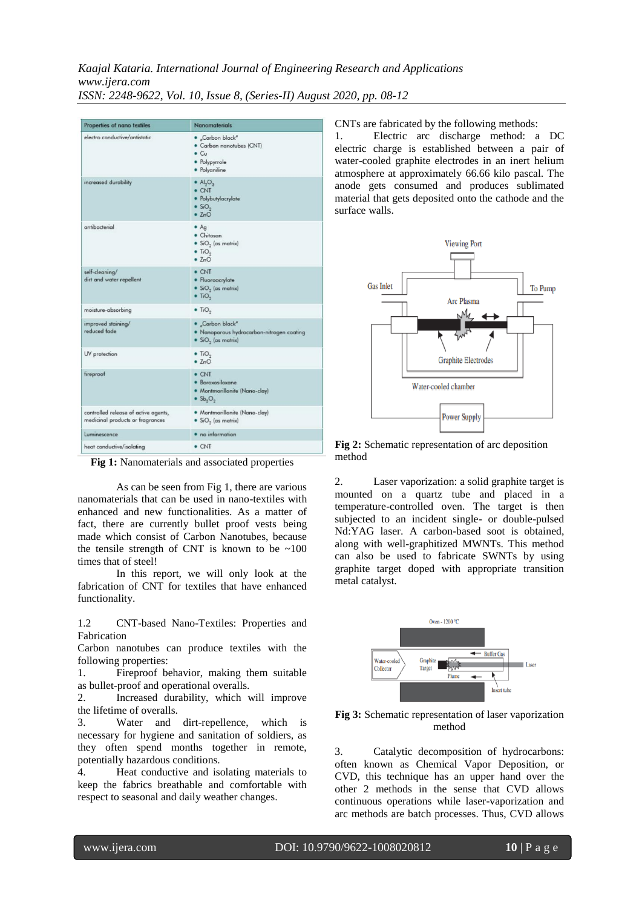*Kaajal Kataria. International Journal of Engineering Research and Applications www.ijera.com ISSN: 2248-9622, Vol. 10, Issue 8, (Series-II) August 2020, pp. 08-12*

| Properties of nano textiles                                              | <b>Nanomaterials</b>                                                                                                  |  |  |  |  |
|--------------------------------------------------------------------------|-----------------------------------------------------------------------------------------------------------------------|--|--|--|--|
| electro conductive/antistatic                                            | · Carbon black"<br>· Carbon nanotubes (CNT)<br>$\bullet$ Cu<br>· Polypyrrole<br>· Polyaniline                         |  |  |  |  |
| increased durability                                                     | $\bullet$ Al <sub>2</sub> O <sub>3</sub><br>$\bullet$ CNT<br>· Polybutylacrylate<br>$\bullet$ SiO <sub>2</sub><br>ZnO |  |  |  |  |
| antibacterial                                                            | Ag<br>· Chitosan<br>$\bullet$ SiO <sub>2</sub> (as matrix)<br>$\bullet$ T <sub>i</sub> O <sub>2</sub><br>2nO          |  |  |  |  |
| self-cleaning/<br>dirt and water repellent                               | · CNT<br>· Fluoroacrylate<br>• $SiO2$ (as matrix)<br>$\bullet$ T <sub>i</sub> O <sub>2</sub>                          |  |  |  |  |
| moisture-absorbing                                                       | $\bullet$ TiO <sub>2</sub>                                                                                            |  |  |  |  |
| improved staining/<br>reduced fade                                       | · Carbon black"<br>. Nanoporous hydrocarbon-nitrogen coating<br>$\bullet$ SiO <sub>2</sub> (as matrix)                |  |  |  |  |
| UV protection                                                            | $\bullet$ T <sub>i</sub> O <sub>2</sub><br>2nO                                                                        |  |  |  |  |
| fireproof                                                                | · CNT<br>· Boroxosiloxane<br>· Montmorillonite (Nano-clay)<br>$\bullet$ Sb <sub>3</sub> O <sub>2</sub>                |  |  |  |  |
| controlled release of active agents,<br>medicinal products or fragrances | · Montmorillonite (Nano-clay)<br>$\bullet$ SiO <sub>2</sub> (as matrix)                                               |  |  |  |  |
| Luminescence                                                             | · no information                                                                                                      |  |  |  |  |
| heat conductive/isolating                                                | · CNT                                                                                                                 |  |  |  |  |

**Fig 1:** Nanomaterials and associated properties

As can be seen from Fig 1, there are various nanomaterials that can be used in nano-textiles with enhanced and new functionalities. As a matter of fact, there are currently bullet proof vests being made which consist of Carbon Nanotubes, because the tensile strength of CNT is known to be  $\sim 100$ times that of steel!

In this report, we will only look at the fabrication of CNT for textiles that have enhanced functionality.

1.2 CNT-based Nano-Textiles: Properties and Fabrication

Carbon nanotubes can produce textiles with the following properties:

1. Fireproof behavior, making them suitable as bullet-proof and operational overalls.

2. Increased durability, which will improve the lifetime of overalls.

3. Water and dirt-repellence, which is necessary for hygiene and sanitation of soldiers, as they often spend months together in remote, potentially hazardous conditions.

4. Heat conductive and isolating materials to keep the fabrics breathable and comfortable with respect to seasonal and daily weather changes.

CNTs are fabricated by the following methods:

1. Electric arc discharge method: a DC electric charge is established between a pair of water-cooled graphite electrodes in an inert helium atmosphere at approximately 66.66 kilo pascal. The anode gets consumed and produces sublimated material that gets deposited onto the cathode and the surface walls.



**Fig 2:** Schematic representation of arc deposition method

2. Laser vaporization: a solid graphite target is mounted on a quartz tube and placed in a temperature-controlled oven. The target is then subjected to an incident single- or double-pulsed Nd:YAG laser. A carbon-based soot is obtained, along with well-graphitized MWNTs. This method can also be used to fabricate SWNTs by using graphite target doped with appropriate transition metal catalyst.



**Fig 3:** Schematic representation of laser vaporization method

3. Catalytic decomposition of hydrocarbons: often known as Chemical Vapor Deposition, or CVD, this technique has an upper hand over the other 2 methods in the sense that CVD allows continuous operations while laser-vaporization and arc methods are batch processes. Thus, CVD allows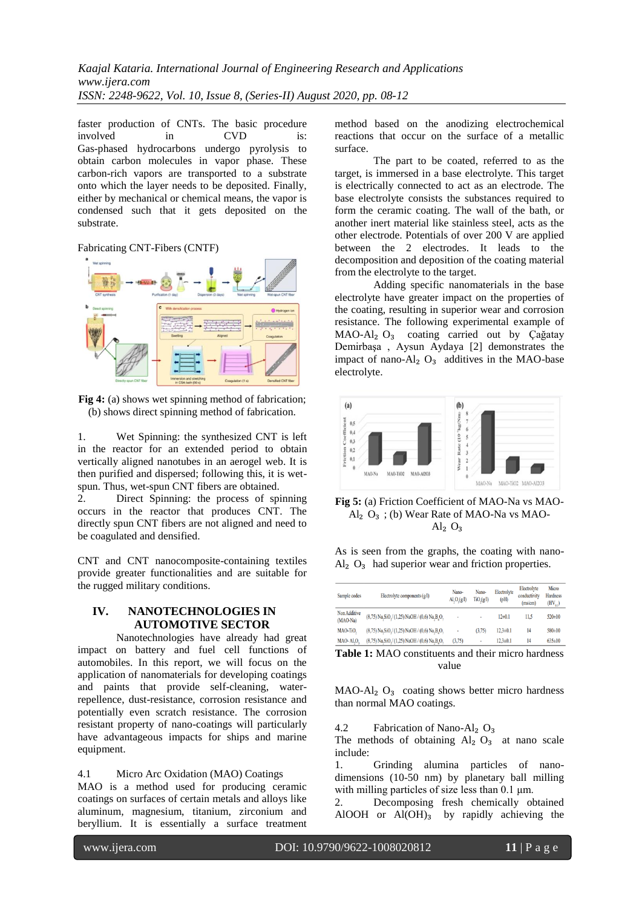faster production of CNTs. The basic procedure<br>involved in CVD is: involved in CVD is: Gas-phased hydrocarbons undergo pyrolysis to obtain carbon molecules in vapor phase. These carbon-rich vapors are transported to a substrate onto which the layer needs to be deposited. Finally, either by mechanical or chemical means, the vapor is condensed such that it gets deposited on the substrate.

# Fabricating CNT-Fibers (CNTF)



**Fig 4:** (a) shows wet spinning method of fabrication; (b) shows direct spinning method of fabrication.

1. Wet Spinning: the synthesized CNT is left in the reactor for an extended period to obtain vertically aligned nanotubes in an aerogel web. It is then purified and dispersed; following this, it is wetspun. Thus, wet-spun CNT fibers are obtained.

2. Direct Spinning: the process of spinning occurs in the reactor that produces CNT. The directly spun CNT fibers are not aligned and need to be coagulated and densified.

CNT and CNT nanocomposite-containing textiles provide greater functionalities and are suitable for the rugged military conditions.

# **IV. NANOTECHNOLOGIES IN AUTOMOTIVE SECTOR**

Nanotechnologies have already had great impact on battery and fuel cell functions of automobiles. In this report, we will focus on the application of nanomaterials for developing coatings and paints that provide self-cleaning, waterrepellence, dust-resistance, corrosion resistance and potentially even scratch resistance. The corrosion resistant property of nano-coatings will particularly have advantageous impacts for ships and marine equipment.

#### 4.1 Micro Arc Oxidation (MAO) Coatings

MAO is a method used for producing ceramic coatings on surfaces of certain metals and alloys like aluminum, magnesium, titanium, zirconium and beryllium. It is essentially a surface treatment method based on the anodizing electrochemical reactions that occur on the surface of a metallic surface.

The part to be coated, referred to as the target, is immersed in a base electrolyte. This target is electrically connected to act as an electrode. The base electrolyte consists the substances required to form the ceramic coating. The wall of the bath, or another inert material like stainless steel, acts as the other electrode. Potentials of over 200 V are applied between the 2 electrodes. It leads to the decomposition and deposition of the coating material from the electrolyte to the target.

Adding specific nanomaterials in the base electrolyte have greater impact on the properties of the coating, resulting in superior wear and corrosion resistance. The following experimental example of MAO-Al₂ O₃ coating carried out by Çağatay Demirbaşa , Aysun Aydaya [2] demonstrates the impact of nano- $Al<sub>2</sub> O<sub>3</sub>$  additives in the MAO-base electrolyte.



**Fig 5:** (a) Friction Coefficient of MAO-Na vs MAO- $Al<sub>2</sub> O<sub>3</sub>$ ; (b) Wear Rate of MAO-Na vs MAO- $Al<sub>2</sub> O<sub>3</sub>$ 

As is seen from the graphs, the coating with nano- $Al<sub>2</sub> O<sub>3</sub>$  had superior wear and friction properties.

| Sample codes               | Electrolyte components $(g1)$                                                         | Nano-<br>AI <sub>1</sub> O <sub>2</sub> (g/l) | Nano-<br>$TiO_q(qI)$ | Electrolyte<br>(pH) | Electrolyte<br>conductivity<br>(ms/cm) | Micro<br>Hardness<br>$(HV_{01})$ |
|----------------------------|---------------------------------------------------------------------------------------|-----------------------------------------------|----------------------|---------------------|----------------------------------------|----------------------------------|
| Non Additive<br>$(MAO-Na)$ | $(8,75)$ Na SiO $/(1,25)$ NaOH $/(0,6)$ Na B O                                        | ٠                                             | ٠                    | $12 \pm 0.1$        | 11.5                                   | $520 \pm 10$                     |
| MAO-TiO.                   | $(8,75)$ Na, SiO <sub>2</sub> $(1,25)$ NaOH $(0,6)$ Na, B <sub>1</sub> O <sub>2</sub> | ٠                                             | (3.75)               | $12.3 \pm 0.1$      | 14                                     | 580±10                           |
| MAO-Al.O.                  | $(8.75)$ Na, SiO, $(1,25)$ NaOH $/(0.6)$ Na, B, O,                                    | (3.75)                                        | $\blacksquare$       | $12.3 \pm 0.1$      | 14                                     | $635 \pm 10$                     |

**Table 1:** MAO constituents and their micro hardness value

 $MAO-Al<sub>2</sub> O<sub>3</sub>$  coating shows better micro hardness than normal MAO coatings.

4.2 Fabrication of Nano-Al<sub>2</sub>  $O_3$ 

The methods of obtaining  $Al<sub>2</sub> O<sub>3</sub>$  at nano scale include:

1. Grinding alumina particles of nanodimensions (10-50 nm) by planetary ball milling with milling particles of size less than 0.1 μm.

2. Decomposing fresh chemically obtained AlOOH or  $Al(OH)_3$  by rapidly achieving the